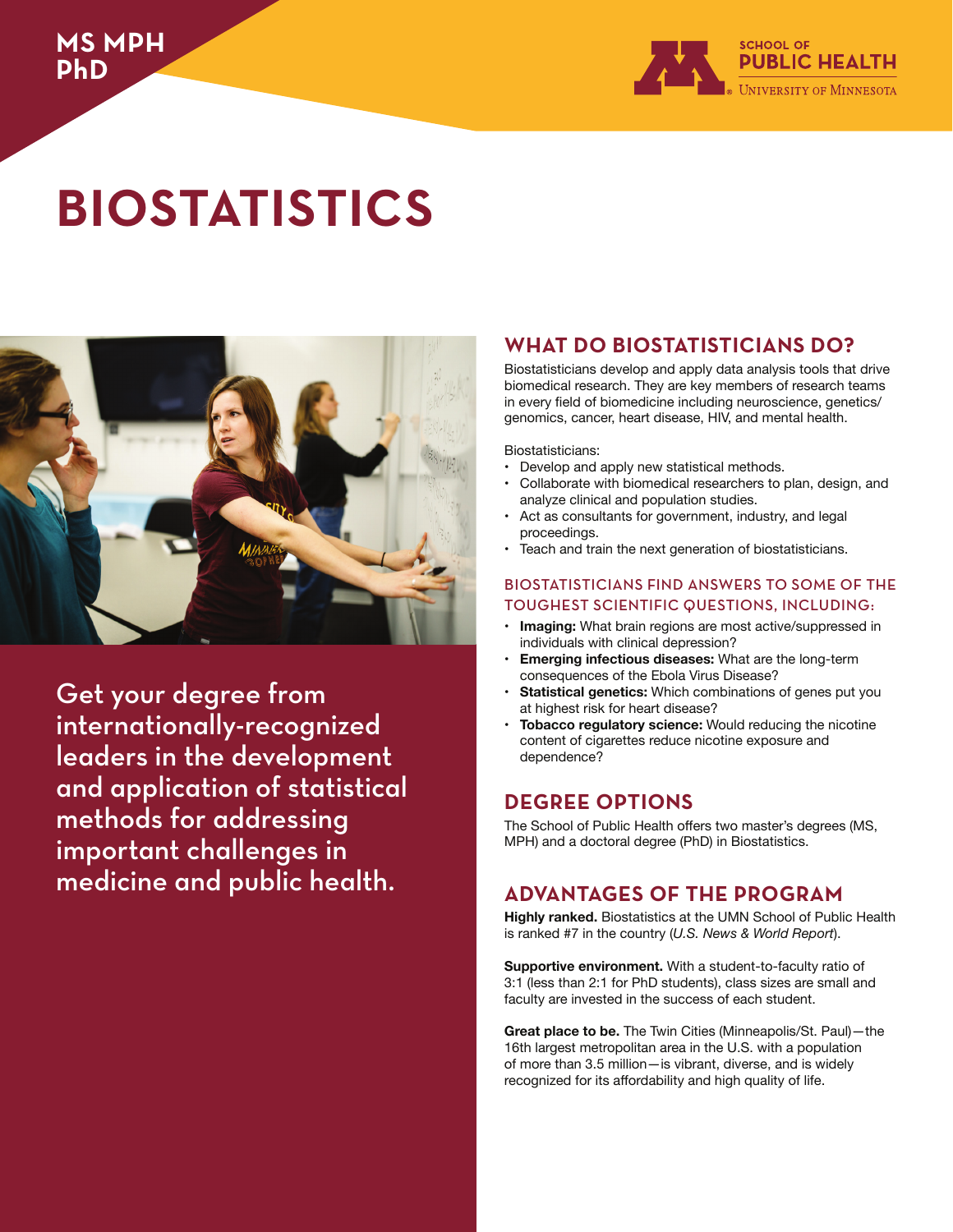

# **BIOSTATISTICS**



Get your degree from internationally-recognized leaders in the development and application of statistical methods for addressing important challenges in medicine and public health.

## **WHAT DO BIOSTATISTICIANS DO?**

Biostatisticians develop and apply data analysis tools that drive biomedical research. They are key members of research teams in every field of biomedicine including neuroscience, genetics/ genomics, cancer, heart disease, HIV, and mental health.

Biostatisticians:

- Develop and apply new statistical methods.
- Collaborate with biomedical researchers to plan, design, and analyze clinical and population studies.
- Act as consultants for government, industry, and legal proceedings.
- Teach and train the next generation of biostatisticians.

#### BIOSTATISTICIANS FIND ANSWERS TO SOME OF THE TOUGHEST SCIENTIFIC QUESTIONS, INCLUDING:

- **Imaging:** What brain regions are most active/suppressed in individuals with clinical depression?
- **Emerging infectious diseases:** What are the long-term consequences of the Ebola Virus Disease?
- **Statistical genetics:** Which combinations of genes put you at highest risk for heart disease?
- **Tobacco regulatory science:** Would reducing the nicotine content of cigarettes reduce nicotine exposure and dependence?

## **DEGREE OPTIONS**

The School of Public Health offers two master's degrees (MS, MPH) and a doctoral degree (PhD) in Biostatistics.

## **ADVANTAGES OF THE PROGRAM**

**Highly ranked.** Biostatistics at the UMN School of Public Health is ranked #7 in the country (*U.S. News & World Report*).

**Supportive environment.** With a student-to-faculty ratio of 3:1 (less than 2:1 for PhD students), class sizes are small and faculty are invested in the success of each student.

**Great place to be.** The Twin Cities (Minneapolis/St. Paul)—the 16th largest metropolitan area in the U.S. with a population of more than 3.5 million—is vibrant, diverse, and is widely recognized for its affordability and high quality of life.